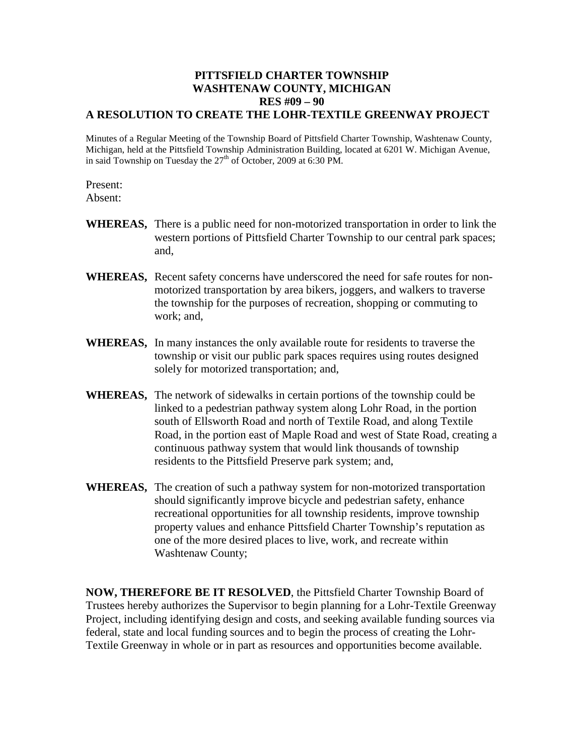## **PITTSFIELD CHARTER TOWNSHIP WASHTENAW COUNTY, MICHIGAN RES #09 – 90 A RESOLUTION TO CREATE THE LOHR-TEXTILE GREENWAY PROJECT**

Minutes of a Regular Meeting of the Township Board of Pittsfield Charter Township, Washtenaw County, Michigan, held at the Pittsfield Township Administration Building, located at 6201 W. Michigan Avenue, in said Township on Tuesday the  $27<sup>th</sup>$  of October, 2009 at 6:30 PM.

Present:

Absent:

- **WHEREAS,** There is a public need for non-motorized transportation in order to link the western portions of Pittsfield Charter Township to our central park spaces; and,
- **WHEREAS,** Recent safety concerns have underscored the need for safe routes for nonmotorized transportation by area bikers, joggers, and walkers to traverse the township for the purposes of recreation, shopping or commuting to work; and,
- **WHEREAS,** In many instances the only available route for residents to traverse the township or visit our public park spaces requires using routes designed solely for motorized transportation; and,
- **WHEREAS,** The network of sidewalks in certain portions of the township could be linked to a pedestrian pathway system along Lohr Road, in the portion south of Ellsworth Road and north of Textile Road, and along Textile Road, in the portion east of Maple Road and west of State Road, creating a continuous pathway system that would link thousands of township residents to the Pittsfield Preserve park system; and,
- **WHEREAS,** The creation of such a pathway system for non-motorized transportation should significantly improve bicycle and pedestrian safety, enhance recreational opportunities for all township residents, improve township property values and enhance Pittsfield Charter Township's reputation as one of the more desired places to live, work, and recreate within Washtenaw County;

**NOW, THEREFORE BE IT RESOLVED**, the Pittsfield Charter Township Board of Trustees hereby authorizes the Supervisor to begin planning for a Lohr-Textile Greenway Project, including identifying design and costs, and seeking available funding sources via federal, state and local funding sources and to begin the process of creating the Lohr-Textile Greenway in whole or in part as resources and opportunities become available.